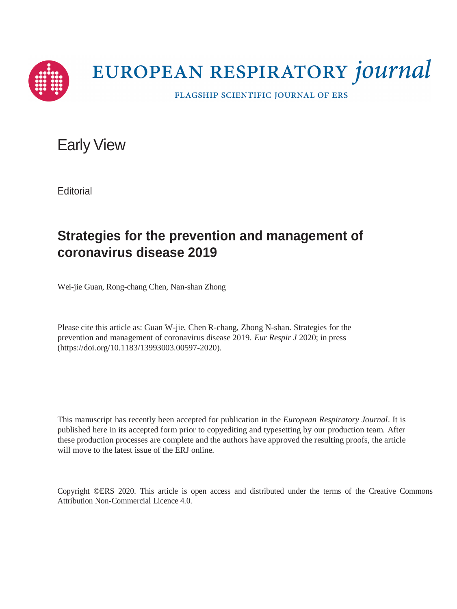

# EUROPEAN RESPIRATORY journal

FLAGSHIP SCIENTIFIC JOURNAL OF ERS

Early View

**Editorial** 

## **Strategies for the prevention and management of coronavirus disease 2019**

Wei-jie Guan, Rong-chang Chen, Nan-shan Zhong

Please cite this article as: Guan W-jie, Chen R-chang, Zhong N-shan. Strategies for the prevention and management of coronavirus disease 2019. *Eur Respir J* 2020; in press (https://doi.org/10.1183/13993003.00597-2020).

This manuscript has recently been accepted for publication in the *European Respiratory Journal*. It is published here in its accepted form prior to copyediting and typesetting by our production team. After these production processes are complete and the authors have approved the resulting proofs, the article will move to the latest issue of the ERJ online.

Copyright ©ERS 2020. This article is open access and distributed under the terms of the Creative Commons Attribution Non-Commercial Licence 4.0.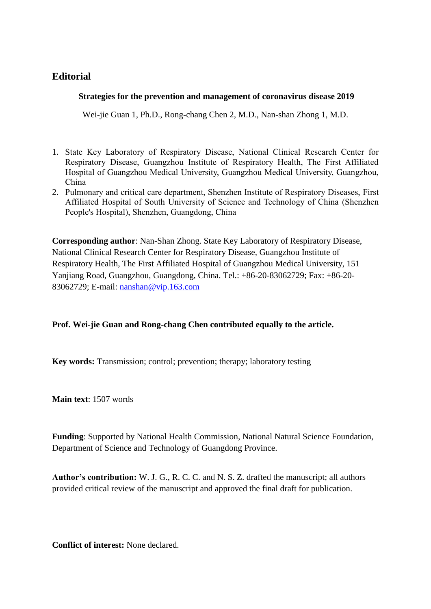### **Editorial**

#### **Strategies for the prevention and management of coronavirus disease 2019**

Wei-jie Guan 1, Ph.D., Rong-chang Chen 2, M.D., Nan-shan Zhong 1, M.D.

- 1. State Key Laboratory of Respiratory Disease, National Clinical Research Center for Respiratory Disease, Guangzhou Institute of Respiratory Health, The First Affiliated Hospital of Guangzhou Medical University, Guangzhou Medical University, Guangzhou, China
- 2. Pulmonary and critical care department, Shenzhen Institute of Respiratory Diseases, First Affiliated Hospital of South University of Science and Technology of China (Shenzhen People's Hospital), Shenzhen, Guangdong, China

**Corresponding author**: Nan-Shan Zhong. State Key Laboratory of Respiratory Disease, National Clinical Research Center for Respiratory Disease, Guangzhou Institute of Respiratory Health, The First Affiliated Hospital of Guangzhou Medical University, 151 Yanjiang Road, Guangzhou, Guangdong, China. Tel.: +86-20-83062729; Fax: +86-20- 83062729; E-mail: [nanshan@vip.163.com](mailto:nanshan@vip.163.com)

#### **Prof. Wei-jie Guan and Rong-chang Chen contributed equally to the article.**

**Key words:** Transmission; control; prevention; therapy; laboratory testing

**Main text**: 1507 words

**Funding**: Supported by National Health Commission, National Natural Science Foundation, Department of Science and Technology of Guangdong Province.

**Author's contribution:** W. J. G., R. C. C. and N. S. Z. drafted the manuscript; all authors provided critical review of the manuscript and approved the final draft for publication.

**Conflict of interest:** None declared.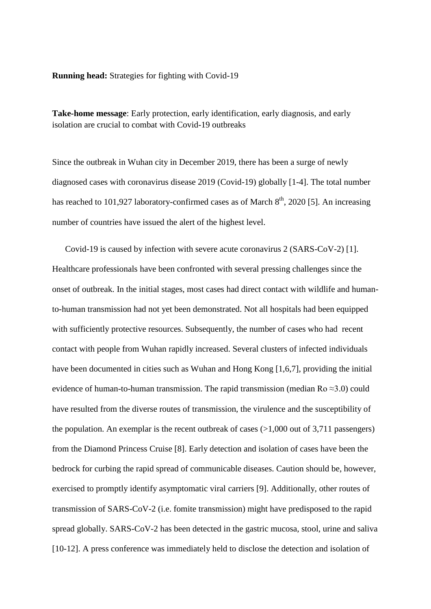**Running head:** Strategies for fighting with Covid-19

**Take-home message**: Early protection, early identification, early diagnosis, and early isolation are crucial to combat with Covid-19 outbreaks

Since the outbreak in Wuhan city in December 2019, there has been a surge of newly diagnosed cases with coronavirus disease 2019 (Covid-19) globally [1-4]. The total number has reached to 101,927 laboratory-confirmed cases as of March  $8<sup>th</sup>$ , 2020 [5]. An increasing number of countries have issued the alert of the highest level.

Covid-19 is caused by infection with severe acute coronavirus 2 (SARS-CoV-2) [1]. Healthcare professionals have been confronted with several pressing challenges since the onset of outbreak. In the initial stages, most cases had direct contact with wildlife and humanto-human transmission had not yet been demonstrated. Not all hospitals had been equipped with sufficiently protective resources. Subsequently, the number of cases who had recent contact with people from Wuhan rapidly increased. Several clusters of infected individuals have been documented in cities such as Wuhan and Hong Kong [1,6,7], providing the initial evidence of human-to-human transmission. The rapid transmission (median Ro  $\approx$ 3.0) could have resulted from the diverse routes of transmission, the virulence and the susceptibility of the population. An exemplar is the recent outbreak of cases  $(>1,000)$  out of 3,711 passengers) from the Diamond Princess Cruise [8]. Early detection and isolation of cases have been the bedrock for curbing the rapid spread of communicable diseases. Caution should be, however, exercised to promptly identify asymptomatic viral carriers [9]. Additionally, other routes of transmission of SARS-CoV-2 (i.e. fomite transmission) might have predisposed to the rapid spread globally. SARS-CoV-2 has been detected in the gastric mucosa, stool, urine and saliva [10-12]. A press conference was immediately held to disclose the detection and isolation of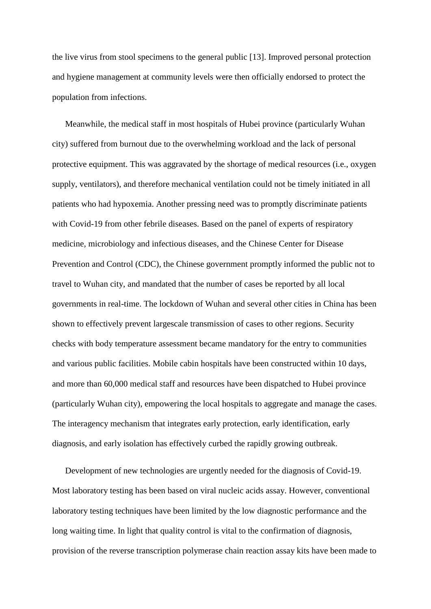the live virus from stool specimens to the general public [13]. Improved personal protection and hygiene management at community levels were then officially endorsed to protect the population from infections.

Meanwhile, the medical staff in most hospitals of Hubei province (particularly Wuhan city) suffered from burnout due to the overwhelming workload and the lack of personal protective equipment. This was aggravated by the shortage of medical resources (i.e., oxygen supply, ventilators), and therefore mechanical ventilation could not be timely initiated in all patients who had hypoxemia. Another pressing need was to promptly discriminate patients with Covid-19 from other febrile diseases. Based on the panel of experts of respiratory medicine, microbiology and infectious diseases, and the Chinese Center for Disease Prevention and Control (CDC), the Chinese government promptly informed the public not to travel to Wuhan city, and mandated that the number of cases be reported by all local governments in real-time. The lockdown of Wuhan and several other cities in China has been shown to effectively prevent largescale transmission of cases to other regions. Security checks with body temperature assessment became mandatory for the entry to communities and various public facilities. Mobile cabin hospitals have been constructed within 10 days, and more than 60,000 medical staff and resources have been dispatched to Hubei province (particularly Wuhan city), empowering the local hospitals to aggregate and manage the cases. The interagency mechanism that integrates early protection, early identification, early diagnosis, and early isolation has effectively curbed the rapidly growing outbreak.

Development of new technologies are urgently needed for the diagnosis of Covid-19. Most laboratory testing has been based on viral nucleic acids assay. However, conventional laboratory testing techniques have been limited by the low diagnostic performance and the long waiting time. In light that quality control is vital to the confirmation of diagnosis, provision of the reverse transcription polymerase chain reaction assay kits have been made to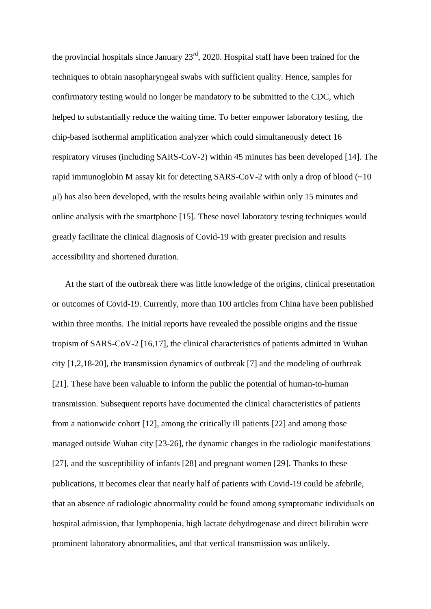the provincial hospitals since January  $23<sup>rd</sup>$ , 2020. Hospital staff have been trained for the techniques to obtain nasopharyngeal swabs with sufficient quality. Hence, samples for confirmatory testing would no longer be mandatory to be submitted to the CDC, which helped to substantially reduce the waiting time. To better empower laboratory testing, the chip-based isothermal amplification analyzer which could simultaneously detect 16 respiratory viruses (including SARS-CoV-2) within 45 minutes has been developed [14]. The rapid immunoglobin M assay kit for detecting SARS-CoV-2 with only a drop of blood  $(\sim 10$ μl) has also been developed, with the results being available within only 15 minutes and online analysis with the smartphone [15]. These novel laboratory testing techniques would greatly facilitate the clinical diagnosis of Covid-19 with greater precision and results accessibility and shortened duration.

At the start of the outbreak there was little knowledge of the origins, clinical presentation or outcomes of Covid-19. Currently, more than 100 articles from China have been published within three months. The initial reports have revealed the possible origins and the tissue tropism of SARS-CoV-2 [16,17], the clinical characteristics of patients admitted in Wuhan city [1,2,18-20], the transmission dynamics of outbreak [7] and the modeling of outbreak [21]. These have been valuable to inform the public the potential of human-to-human transmission. Subsequent reports have documented the clinical characteristics of patients from a nationwide cohort [12], among the critically ill patients [22] and among those managed outside Wuhan city [23-26], the dynamic changes in the radiologic manifestations [27], and the susceptibility of infants [28] and pregnant women [29]. Thanks to these publications, it becomes clear that nearly half of patients with Covid-19 could be afebrile, that an absence of radiologic abnormality could be found among symptomatic individuals on hospital admission, that lymphopenia, high lactate dehydrogenase and direct bilirubin were prominent laboratory abnormalities, and that vertical transmission was unlikely.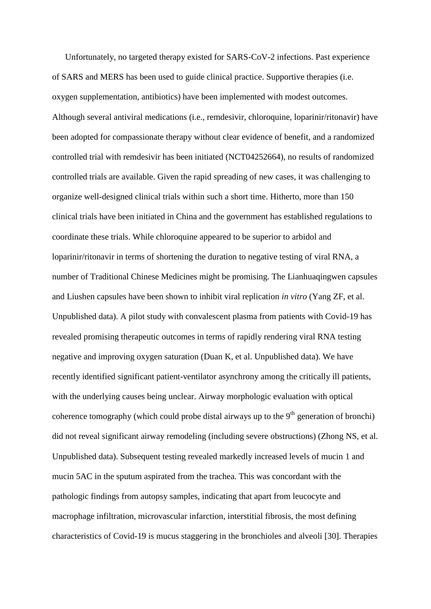Unfortunately, no targeted therapy existed for SARS-CoV-2 infections. Past experience of SARS and MERS has been used to guide clinical practice. Supportive therapies (i.e. oxygen supplementation, antibiotics) have been implemented with modest outcomes. Although several antiviral medications (i.e., remdesivir, chloroquine, loparinir/ritonavir) have been adopted for compassionate therapy without clear evidence of benefit, and a randomized controlled trial with remdesivir has been initiated (NCT04252664), no results of randomized controlled trials are available. Given the rapid spreading of new cases, it was challenging to organize well-designed clinical trials within such a short time. Hitherto, more than 150 clinical trials have been initiated in China and the government has established regulations to coordinate these trials. While chloroquine appeared to be superior to arbidol and loparinir/ritonavir in terms of shortening the duration to negative testing of viral RNA, a number of Traditional Chinese Medicines might be promising. The Lianhuaqingwen capsules and Liushen capsules have been shown to inhibit viral replication *in vitro* (Yang ZF, et al. Unpublished data). A pilot study with convalescent plasma from patients with Covid-19 has revealed promising therapeutic outcomes in terms of rapidly rendering viral RNA testing negative and improving oxygen saturation (Duan K, et al. Unpublished data). We have recently identified significant patient-ventilator asynchrony among the critically ill patients, with the underlying causes being unclear. Airway morphologic evaluation with optical coherence tomography (which could probe distal airways up to the  $9<sup>th</sup>$  generation of bronchi) did not reveal significant airway remodeling (including severe obstructions) (Zhong NS, et al. Unpublished data). Subsequent testing revealed markedly increased levels of mucin 1 and mucin 5AC in the sputum aspirated from the trachea. This was concordant with the pathologic findings from autopsy samples, indicating that apart from leucocyte and macrophage infiltration, microvascular infarction, interstitial fibrosis, the most defining characteristics of Covid-19 is mucus staggering in the bronchioles and alveoli [30]. Therapies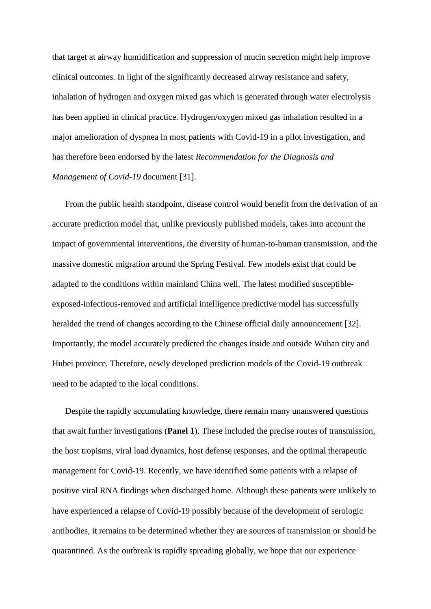that target at airway humidification and suppression of mucin secretion might help improve clinical outcomes. In light of the significantly decreased airway resistance and safety, inhalation of hydrogen and oxygen mixed gas which is generated through water electrolysis has been applied in clinical practice. Hydrogen/oxygen mixed gas inhalation resulted in a major amelioration of dyspnea in most patients with Covid-19 in a pilot investigation, and has therefore been endorsed by the latest *Recommendation for the Diagnosis and Management of Covid-19* document [31].

From the public health standpoint, disease control would benefit from the derivation of an accurate prediction model that, unlike previously published models, takes into account the impact of governmental interventions, the diversity of human-to-human transmission, and the massive domestic migration around the Spring Festival. Few models exist that could be adapted to the conditions within mainland China well. The latest modified susceptibleexposed-infectious-removed and artificial intelligence predictive model has successfully heralded the trend of changes according to the Chinese official daily announcement [32]. Importantly, the model accurately predicted the changes inside and outside Wuhan city and Hubei province. Therefore, newly developed prediction models of the Covid-19 outbreak need to be adapted to the local conditions.

Despite the rapidly accumulating knowledge, there remain many unanswered questions that await further investigations (**Panel 1**). These included the precise routes of transmission, the host tropisms, viral load dynamics, host defense responses, and the optimal therapeutic management for Covid-19. Recently, we have identified some patients with a relapse of positive viral RNA findings when discharged home. Although these patients were unlikely to have experienced a relapse of Covid-19 possibly because of the development of serologic antibodies, it remains to be determined whether they are sources of transmission or should be quarantined. As the outbreak is rapidly spreading globally, we hope that our experience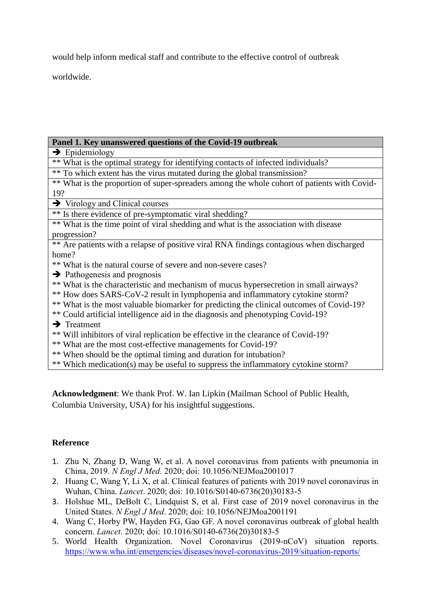would help inform medical staff and contribute to the effective control of outbreak

worldwide.

#### **Panel 1. Key unanswered questions of the Covid-19 outbreak**

 $\rightarrow$  Epidemiology

\*\* What is the optimal strategy for identifying contacts of infected individuals?

\*\* To which extent has the virus mutated during the global transmission?

\*\* What is the proportion of super-spreaders among the whole cohort of patients with Covid-19?

 $\rightarrow$  Virology and Clinical courses

\*\* Is there evidence of pre-symptomatic viral shedding?

\*\* What is the time point of viral shedding and what is the association with disease progression?

\*\* Are patients with a relapse of positive viral RNA findings contagious when discharged home?

\*\* What is the natural course of severe and non-severe cases?

- $\rightarrow$  Pathogenesis and prognosis
- \*\* What is the characteristic and mechanism of mucus hypersecretion in small airways?
- \*\* How does SARS-CoV-2 result in lymphopenia and inflammatory cytokine storm?
- \*\* What is the most valuable biomarker for predicting the clinical outcomes of Covid-19?
- \*\* Could artificial intelligence aid in the diagnosis and phenotyping Covid-19?
- $\rightarrow$  Treatment
- \*\* Will inhibitors of viral replication be effective in the clearance of Covid-19?
- \*\* What are the most cost-effective managements for Covid-19?
- \*\* When should be the optimal timing and duration for intubation?

\*\* Which medication(s) may be useful to suppress the inflammatory cytokine storm?

**Acknowledgment**: We thank Prof. W. Ian Lipkin (Mailman School of Public Health, Columbia University, USA) for his insightful suggestions.

#### **Reference**

- 1. Zhu N, Zhang D, Wang W, et al. A novel coronavirus from patients with pneumonia in China, 2019. *N Engl J Med*. 2020; doi: 10.1056/NEJMoa2001017
- 2. Huang C, Wang Y, Li X, et al. Clinical features of patients with 2019 novel coronavirus in Wuhan, China. *Lancet*. 2020; doi: 10.1016/S0140-6736(20)30183-5
- 3. Holshue ML, DeBolt C, Lindquist S, et al. First case of 2019 novel coronavirus in the United States. *N Engl J Med*. 2020; doi: 10.1056/NEJMoa2001191
- 4. Wang C, Horby PW, Hayden FG, Gao GF. A novel coronavirus outbreak of global health concern. *Lancet*. 2020; doi: 10.1016/S0140-6736(20)30183-5
- 5. World Health Organization. Novel Coronavirus (2019-nCoV) situation reports. <https://www.who.int/emergencies/diseases/novel-coronavirus-2019/situation-reports/>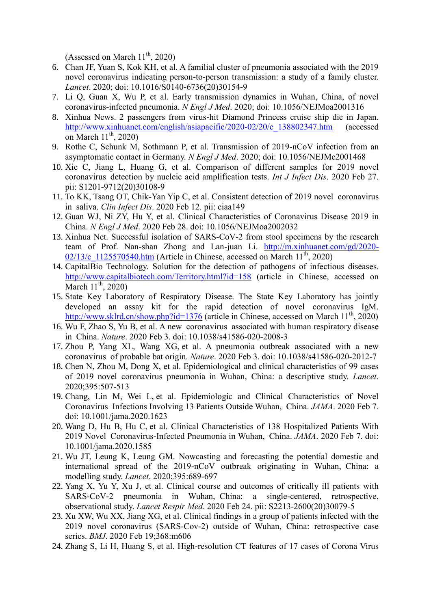(Assessed on March  $11^{th}$ , 2020)

- 6. Chan JF, Yuan S, Kok KH, et al. A familial cluster of pneumonia associated with the 2019 novel coronavirus indicating person-to-person transmission: a study of a family cluster. *Lancet*. 2020; doi: 10.1016/S0140-6736(20)30154-9
- 7. Li Q, Guan X, Wu P, et al. Early transmission dynamics in Wuhan, China, of novel coronavirus-infected pneumonia. *N Engl J Med*. 2020; doi: 10.1056/NEJMoa2001316
- 8. Xinhua News. 2 passengers from virus-hit Diamond Princess cruise ship die in Japan. [http://www.xinhuanet.com/english/asiapacific/2020-02/20/c\\_138802347.htm](http://www.xinhuanet.com/english/asiapacific/2020-02/20/c_138802347.htm) (accessed on March  $11^{th}$ , 2020)
- 9. Rothe C, Schunk M, Sothmann P, et al. Transmission of 2019-nCoV infection from an asymptomatic contact in Germany. *N Engl J Med*. 2020; doi: 10.1056/NEJMc2001468
- 10. Xie C, Jiang L, Huang G, et al. [Comparison of different samples for 2019 novel](https://www.ncbi.nlm.nih.gov/pubmed/32114193) coronavirus [detection by nucleic acid amplification tests.](https://www.ncbi.nlm.nih.gov/pubmed/32114193) *Int J Infect Dis*. 2020 Feb 27. pii: S1201-9712(20)30108-9
- 11. To KK, Tsang OT, Chik-Yan Yip C, et al. [Consistent detection of 2019 novel](https://www.ncbi.nlm.nih.gov/pubmed/32047895) coronavirus in [saliva.](https://www.ncbi.nlm.nih.gov/pubmed/32047895) *Clin Infect Dis*. 2020 Feb 12. pii: ciaa149
- 12. Guan WJ, Ni ZY, Hu Y, et al. [Clinical Characteristics of Coronavirus Disease 2019 in](https://www.ncbi.nlm.nih.gov/pubmed/32109013)  [China.](https://www.ncbi.nlm.nih.gov/pubmed/32109013) *N Engl J Med*. 2020 Feb 28. doi: 10.1056/NEJMoa2002032
- 13. Xinhua Net. Successful isolation of SARS-CoV-2 from stool specimens by the research team of Prof. Nan-shan Zhong and Lan-juan Li. [http://m.xinhuanet.com/gd/2020-](http://m.xinhuanet.com/gd/2020-02/13/c_1125570540.htm)  $02/13/c$  1125570540.htm (Article in Chinese, accessed on March  $11<sup>th</sup>$ , 2020)
- 14. CapitalBio Technology. Solution for the detection of pathogens of infectious diseases. <http://www.capitalbiotech.com/Territory.html?id=158> (article in Chinese, accessed on March  $11^{th}$ , 2020)
- 15. State Key Laboratory of Respiratory Disease. The State Key Laboratory has jointly developed an assay kit for the rapid detection of novel coronavirus IgM. <http://www.sklrd.cn/show.php?id=1376> (article in Chinese, accessed on March  $11^{th}$ , 2020)
- 16. Wu F, Zhao S, Yu B, et al. A new coronavirus [associated with human respiratory disease](https://www.ncbi.nlm.nih.gov/pubmed/32015508)  in [China.](https://www.ncbi.nlm.nih.gov/pubmed/32015508) *Nature*. 2020 Feb 3. doi: 10.1038/s41586-020-2008-3
- 17. Zhou P, Yang XL, Wang XG, et al. [A pneumonia outbreak associated with a new](https://www.ncbi.nlm.nih.gov/pubmed/32015507) coronavirus [of probable bat origin.](https://www.ncbi.nlm.nih.gov/pubmed/32015507) *Nature*. 2020 Feb 3. doi: 10.1038/s41586-020-2012-7
- 18. Chen N, Zhou M, Dong X, et al. [Epidemiological and clinical characteristics of 99 cases](https://www.ncbi.nlm.nih.gov/pubmed/32007143)  of 2019 novel coronavirus pneumonia in Wuhan, [China: a descriptive study.](https://www.ncbi.nlm.nih.gov/pubmed/32007143) *Lancet*. 2020;395:507-513
- 19. Chang, Lin M, Wei L, et al. [Epidemiologic and Clinical Characteristics of Novel](https://www.ncbi.nlm.nih.gov/pubmed/32031568) Coronavirus [Infections Involving 13 Patients Outside Wuhan,](https://www.ncbi.nlm.nih.gov/pubmed/32031568) China. *JAMA*. 2020 Feb 7. doi: 10.1001/jama.2020.1623
- 20. Wang D, Hu B, Hu C, et al. [Clinical Characteristics of 138 Hospitalized Patients With](https://www.ncbi.nlm.nih.gov/pubmed/32031570)  2019 Novel [Coronavirus-Infected Pneumonia in Wuhan,](https://www.ncbi.nlm.nih.gov/pubmed/32031570) China. *JAMA*. 2020 Feb 7. doi: 10.1001/jama.2020.1585
- 21. Wu JT, Leung K, Leung GM. [Nowcasting and forecasting the potential domestic and](https://www.ncbi.nlm.nih.gov/pubmed/32014114)  [international spread of the 2019-nCoV outbreak originating in Wuhan,](https://www.ncbi.nlm.nih.gov/pubmed/32014114) China: a [modelling study.](https://www.ncbi.nlm.nih.gov/pubmed/32014114) *Lancet*. 2020;395:689-697
- 22. Yang X, Yu Y, Xu J, et al. [Clinical course and outcomes of critically ill patients with](https://www.ncbi.nlm.nih.gov/pubmed/32105632)  SARS-CoV-2 pneumonia in Wuhan, [China: a single-centered, retrospective,](https://www.ncbi.nlm.nih.gov/pubmed/32105632)  [observational study.](https://www.ncbi.nlm.nih.gov/pubmed/32105632) *Lancet Respir Med*. 2020 Feb 24. pii: S2213-2600(20)30079-5
- 23. Xu XW, Wu XX, Jiang XG, et al. [Clinical findings in a group of patients infected with the](https://www.ncbi.nlm.nih.gov/pubmed/32075786)  2019 novel coronavirus (SARS-Cov-2) outside of [Wuhan, China: retrospective case](https://www.ncbi.nlm.nih.gov/pubmed/32075786)  [series.](https://www.ncbi.nlm.nih.gov/pubmed/32075786) *BMJ*. 2020 Feb 19;368:m606
- 24. Zhang S, Li H, Huang S, et al. High-resolution CT features of 17 cases of Corona Virus